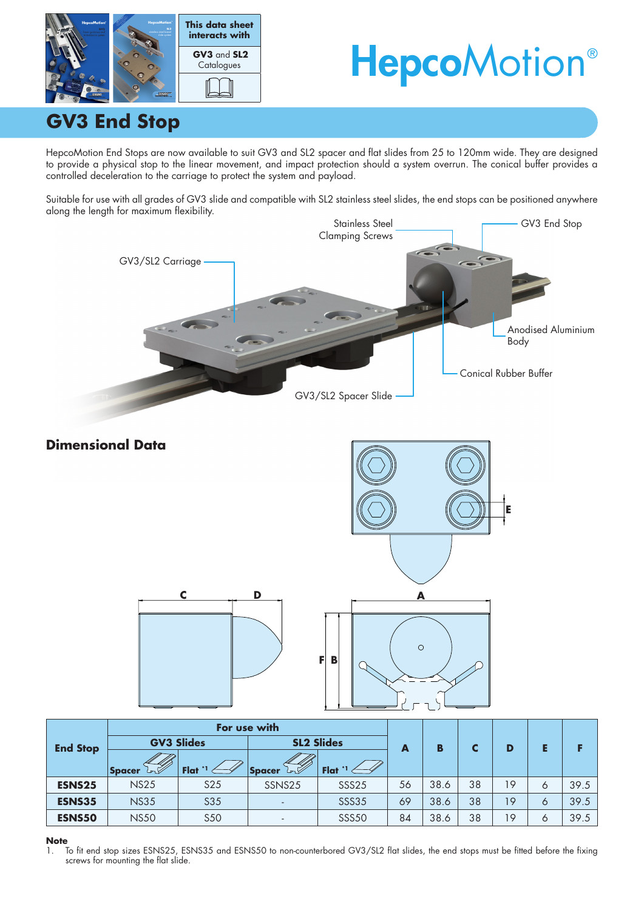

# **HepcoMotion®**

## **GV3 End Stop**

HepcoMotion End Stops are now available to suit GV3 and SL2 spacer and flat slides from 25 to 120mm wide. They are designed to provide a physical stop to the linear movement, and impact protection should a system overrun. The conical buffer provides a controlled deceleration to the carriage to protect the system and payload.

Suitable for use with all grades of GV3 slide and compatible with SL2 stainless steel slides, the end stops can be positioned anywhere along the length for maximum flexibility.



#### **Note**

1. To fit end stop sizes ESNS25, ESNS35 and ESNS50 to non-counterbored GV3/SL2 flat slides, the end stops must be fitted before the fixing screws for mounting the flat slide.